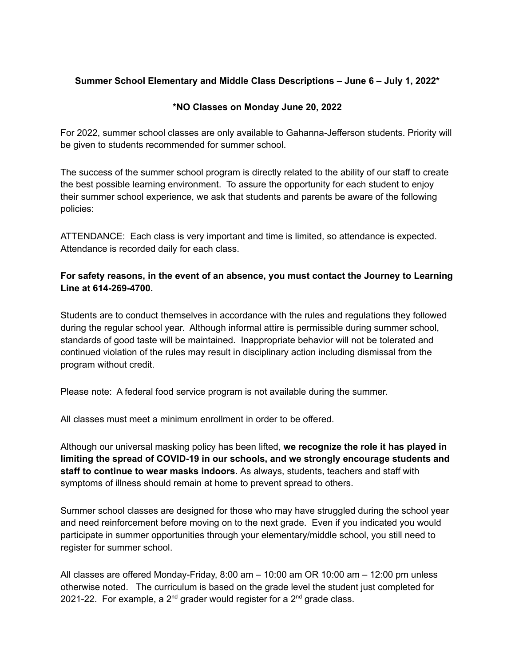## **Summer School Elementary and Middle Class Descriptions – June 6 – July 1, 2022\***

## **\*NO Classes on Monday June 20, 2022**

For 2022, summer school classes are only available to Gahanna-Jefferson students. Priority will be given to students recommended for summer school.

The success of the summer school program is directly related to the ability of our staff to create the best possible learning environment. To assure the opportunity for each student to enjoy their summer school experience, we ask that students and parents be aware of the following policies:

ATTENDANCE: Each class is very important and time is limited, so attendance is expected. Attendance is recorded daily for each class.

## **For safety reasons, in the event of an absence, you must contact the Journey to Learning Line at 614-269-4700.**

Students are to conduct themselves in accordance with the rules and regulations they followed during the regular school year. Although informal attire is permissible during summer school, standards of good taste will be maintained. Inappropriate behavior will not be tolerated and continued violation of the rules may result in disciplinary action including dismissal from the program without credit.

Please note: A federal food service program is not available during the summer.

All classes must meet a minimum enrollment in order to be offered.

Although our universal masking policy has been lifted, **we recognize the role it has played in limiting the spread of COVID-19 in our schools, and we strongly encourage students and staff to continue to wear masks indoors.** As always, students, teachers and staff with symptoms of illness should remain at home to prevent spread to others.

Summer school classes are designed for those who may have struggled during the school year and need reinforcement before moving on to the next grade. Even if you indicated you would participate in summer opportunities through your elementary/middle school, you still need to register for summer school.

All classes are offered Monday-Friday, 8:00 am – 10:00 am OR 10:00 am – 12:00 pm unless otherwise noted. The curriculum is based on the grade level the student just completed for 2021-22. For example, a 2<sup>nd</sup> grader would register for a 2<sup>nd</sup> grade class.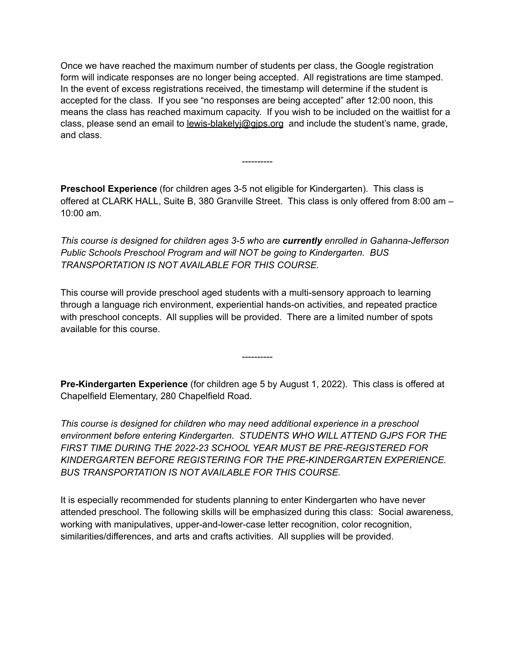Once we have reached the maximum number of students per class, the Google registration form will indicate responses are no longer being accepted. All registrations are time stamped. In the event of excess registrations received, the timestamp will determine if the student is accepted for the class. If you see "no responses are being accepted" after 12:00 noon, this means the class has reached maximum capacity. If you wish to be included on the waitlist for a class, please send an email to lewis-blakelyj@gips.org and include the student's name, grade, and class.

**Preschool Experience** (for children ages 3-5 not eligible for Kindergarten). This class is offered at CLARK HALL, Suite B, 380 Granville Street. This class is only offered from 8:00 am – 10:00 am.

----------

*This course is designed for children ages 3-5 who are currently enrolled in Gahanna-Jefferson Public Schools Preschool Program and will NOT be going to Kindergarten. BUS TRANSPORTATION IS NOT AVAILABLE FOR THIS COURSE.*

This course will provide preschool aged students with a multi-sensory approach to learning through a language rich environment, experiential hands-on activities, and repeated practice with preschool concepts. All supplies will be provided. There are a limited number of spots available for this course.

**Pre-Kindergarten Experience** (for children age 5 by August 1, 2022). This class is offered at Chapelfield Elementary, 280 Chapelfield Road.

----------

*This course is designed for children who may need additional experience in a preschool environment before entering Kindergarten. STUDENTS WHO WILL ATTEND GJPS FOR THE FIRST TIME DURING THE 2022-23 SCHOOL YEAR MUST BE PRE-REGISTERED FOR KINDERGARTEN BEFORE REGISTERING FOR THE PRE-KINDERGARTEN EXPERIENCE. BUS TRANSPORTATION IS NOT AVAILABLE FOR THIS COURSE.*

It is especially recommended for students planning to enter Kindergarten who have never attended preschool. The following skills will be emphasized during this class: Social awareness, working with manipulatives, upper-and-lower-case letter recognition, color recognition, similarities/differences, and arts and crafts activities. All supplies will be provided.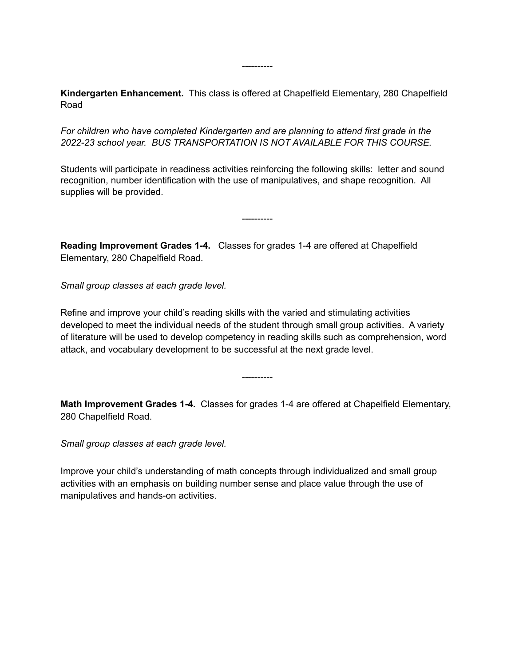**Kindergarten Enhancement.** This class is offered at Chapelfield Elementary, 280 Chapelfield Road

----------

*For children who have completed Kindergarten and are planning to attend first grade in the 2022-23 school year. BUS TRANSPORTATION IS NOT AVAILABLE FOR THIS COURSE.*

Students will participate in readiness activities reinforcing the following skills: letter and sound recognition, number identification with the use of manipulatives, and shape recognition. All supplies will be provided.

----------

**Reading Improvement Grades 1-4.** Classes for grades 1-4 are offered at Chapelfield Elementary, 280 Chapelfield Road.

*Small group classes at each grade level.*

Refine and improve your child's reading skills with the varied and stimulating activities developed to meet the individual needs of the student through small group activities. A variety of literature will be used to develop competency in reading skills such as comprehension, word attack, and vocabulary development to be successful at the next grade level.

**Math Improvement Grades 1-4.** Classes for grades 1-4 are offered at Chapelfield Elementary, 280 Chapelfield Road.

----------

*Small group classes at each grade level.*

Improve your child's understanding of math concepts through individualized and small group activities with an emphasis on building number sense and place value through the use of manipulatives and hands-on activities.